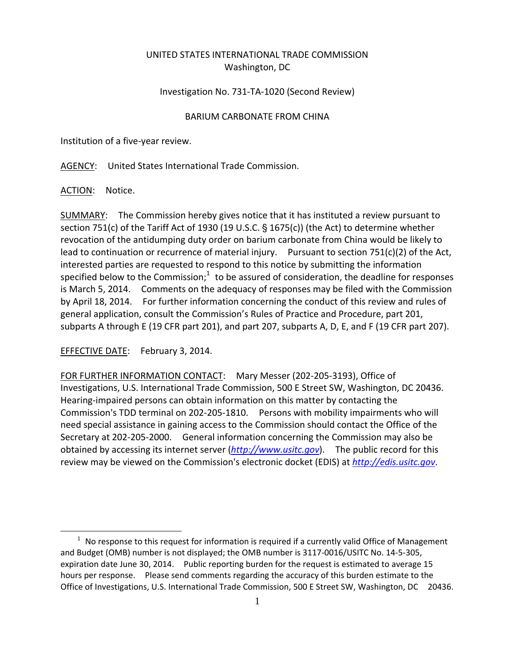## UNITED STATES INTERNATIONAL TRADE COMMISSION Washington, DC

## Investigation No. 731‐TA‐1020 (Second Review)

## BARIUM CARBONATE FROM CHINA

Institution of a five‐year review.

AGENCY: United States International Trade Commission.

ACTION: Notice.

 $\overline{a}$ 

SUMMARY: The Commission hereby gives notice that it has instituted a review pursuant to section 751(c) of the Tariff Act of 1930 (19 U.S.C.  $\S$  1675(c)) (the Act) to determine whether revocation of the antidumping duty order on barium carbonate from China would be likely to lead to continuation or recurrence of material injury. Pursuant to section 751(c)(2) of the Act, interested parties are requested to respond to this notice by submitting the information specified below to the Commission; $1$  to be assured of consideration, the deadline for responses is March 5, 2014. Comments on the adequacy of responses may be filed with the Commission by April 18, 2014. For further information concerning the conduct of this review and rules of general application, consult the Commission's Rules of Practice and Procedure, part 201, subparts A through E (19 CFR part 201), and part 207, subparts A, D, E, and F (19 CFR part 207).

EFFECTIVE DATE: February 3, 2014.

FOR FURTHER INFORMATION CONTACT: Mary Messer (202‐205‐3193), Office of Investigations, U.S. International Trade Commission, 500 E Street SW, Washington, DC 20436. Hearing‐impaired persons can obtain information on this matter by contacting the Commission's TDD terminal on 202-205-1810. Persons with mobility impairments who will need special assistance in gaining access to the Commission should contact the Office of the Secretary at 202‐205‐2000. General information concerning the Commission may also be obtained by accessing its internet server (*http://www.usitc.gov*). The public record for this review may be viewed on the Commission's electronic docket (EDIS) at *http://edis.usitc.gov*.

 $1$  No response to this request for information is required if a currently valid Office of Management and Budget (OMB) number is not displayed; the OMB number is 3117‐0016/USITC No. 14‐5‐305, expiration date June 30, 2014. Public reporting burden for the request is estimated to average 15 hours per response. Please send comments regarding the accuracy of this burden estimate to the Office of Investigations, U.S. International Trade Commission, 500 E Street SW, Washington, DC 20436.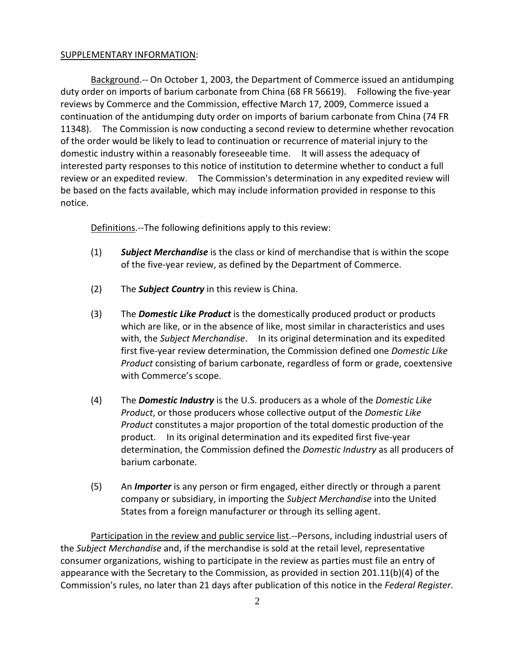## SUPPLEMENTARY INFORMATION:

Background.‐‐ On October 1, 2003, the Department of Commerce issued an antidumping duty order on imports of barium carbonate from China (68 FR 56619). Following the five-year reviews by Commerce and the Commission, effective March 17, 2009, Commerce issued a continuation of the antidumping duty order on imports of barium carbonate from China (74 FR 11348). The Commission is now conducting a second review to determine whether revocation of the order would be likely to lead to continuation or recurrence of material injury to the domestic industry within a reasonably foreseeable time. It will assess the adequacy of interested party responses to this notice of institution to determine whether to conduct a full review or an expedited review. The Commission's determination in any expedited review will be based on the facts available, which may include information provided in response to this notice.

Definitions.--The following definitions apply to this review:

- (1) *Subject Merchandise* is the class or kind of merchandise that is within the scope of the five‐year review, as defined by the Department of Commerce.
- (2) The *Subject Country* in this review is China.
- (3) The *Domestic Like Product* is the domestically produced product or products which are like, or in the absence of like, most similar in characteristics and uses with, the *Subject Merchandise*. In its original determination and its expedited first five‐year review determination, the Commission defined one *Domestic Like Product* consisting of barium carbonate, regardless of form or grade, coextensive with Commerce's scope.
- (4) The *Domestic Industry* is the U.S. producers as a whole of the *Domestic Like Product*, or those producers whose collective output of the *Domestic Like Product* constitutes a major proportion of the total domestic production of the product. In its original determination and its expedited first five-year determination, the Commission defined the *Domestic Industry* as all producers of barium carbonate.
- (5) An *Importer* is any person or firm engaged, either directly or through a parent company or subsidiary, in importing the *Subject Merchandise* into the United States from a foreign manufacturer or through its selling agent.

Participation in the review and public service list. -- Persons, including industrial users of the *Subject Merchandise* and, if the merchandise is sold at the retail level, representative consumer organizations, wishing to participate in the review as parties must file an entry of appearance with the Secretary to the Commission, as provided in section 201.11(b)(4) of the Commission's rules, no later than 21 days after publication of this notice in the *Federal Register*.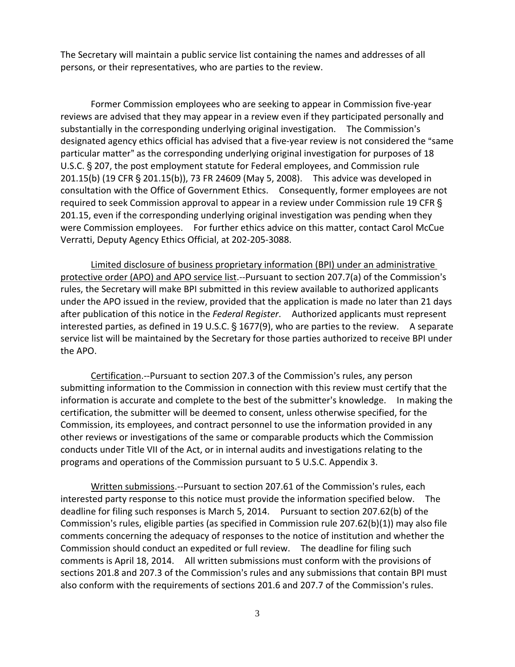The Secretary will maintain a public service list containing the names and addresses of all persons, or their representatives, who are parties to the review.

Former Commission employees who are seeking to appear in Commission five‐year reviews are advised that they may appear in a review even if they participated personally and substantially in the corresponding underlying original investigation. The Commission's designated agency ethics official has advised that a five-year review is not considered the "same particular matter" as the corresponding underlying original investigation for purposes of 18 U.S.C. § 207, the post employment statute for Federal employees, and Commission rule 201.15(b) (19 CFR § 201.15(b)), 73 FR 24609 (May 5, 2008). This advice was developed in consultation with the Office of Government Ethics. Consequently, former employees are not required to seek Commission approval to appear in a review under Commission rule 19 CFR § 201.15, even if the corresponding underlying original investigation was pending when they were Commission employees. For further ethics advice on this matter, contact Carol McCue Verratti, Deputy Agency Ethics Official, at 202‐205‐3088.

Limited disclosure of business proprietary information (BPI) under an administrative protective order (APO) and APO service list.--Pursuant to section 207.7(a) of the Commission's rules, the Secretary will make BPI submitted in this review available to authorized applicants under the APO issued in the review, provided that the application is made no later than 21 days after publication of this notice in the *Federal Register*. Authorized applicants must represent interested parties, as defined in 19 U.S.C.  $\S$  1677(9), who are parties to the review. A separate service list will be maintained by the Secretary for those parties authorized to receive BPI under the APO.

Certification.--Pursuant to section 207.3 of the Commission's rules, any person submitting information to the Commission in connection with this review must certify that the information is accurate and complete to the best of the submitter's knowledge. In making the certification, the submitter will be deemed to consent, unless otherwise specified, for the Commission, its employees, and contract personnel to use the information provided in any other reviews or investigations of the same or comparable products which the Commission conducts under Title VII of the Act, or in internal audits and investigations relating to the programs and operations of the Commission pursuant to 5 U.S.C. Appendix 3.

Written submissions.--Pursuant to section 207.61 of the Commission's rules, each interested party response to this notice must provide the information specified below. The deadline for filing such responses is March 5, 2014. Pursuant to section 207.62(b) of the Commission's rules, eligible parties (as specified in Commission rule 207.62(b)(1)) may also file comments concerning the adequacy of responses to the notice of institution and whether the Commission should conduct an expedited or full review. The deadline for filing such comments is April 18, 2014. All written submissions must conform with the provisions of sections 201.8 and 207.3 of the Commission's rules and any submissions that contain BPI must also conform with the requirements of sections 201.6 and 207.7 of the Commission's rules.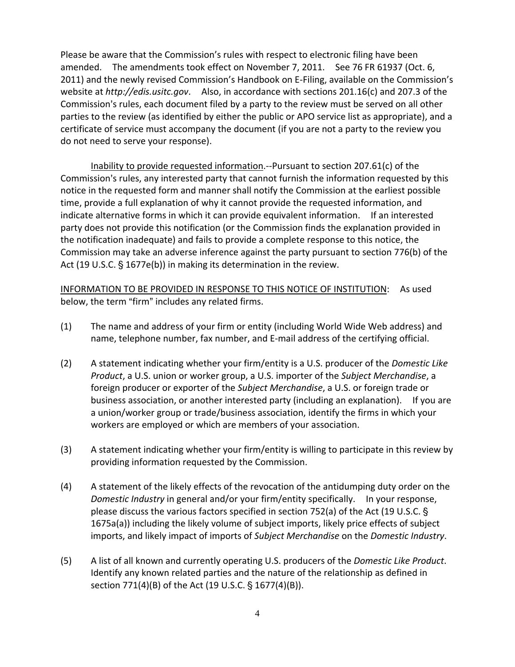Please be aware that the Commission's rules with respect to electronic filing have been amended. The amendments took effect on November 7, 2011. See 76 FR 61937 (Oct. 6, 2011) and the newly revised Commission's Handbook on E-Filing, available on the Commission's website at *http://edis.usitc.gov*. Also, in accordance with sections 201.16(c) and 207.3 of the Commission's rules, each document filed by a party to the review must be served on all other parties to the review (as identified by either the public or APO service list as appropriate), and a certificate of service must accompany the document (if you are not a party to the review you do not need to serve your response).

Inability to provide requested information.‐‐Pursuant to section 207.61(c) of the Commission's rules, any interested party that cannot furnish the information requested by this notice in the requested form and manner shall notify the Commission at the earliest possible time, provide a full explanation of why it cannot provide the requested information, and indicate alternative forms in which it can provide equivalent information. If an interested party does not provide this notification (or the Commission finds the explanation provided in the notification inadequate) and fails to provide a complete response to this notice, the Commission may take an adverse inference against the party pursuant to section 776(b) of the Act (19 U.S.C.  $\S$  1677e(b)) in making its determination in the review.

INFORMATION TO BE PROVIDED IN RESPONSE TO THIS NOTICE OF INSTITUTION: As used below, the term "firm" includes any related firms.

- (1) The name and address of your firm or entity (including World Wide Web address) and name, telephone number, fax number, and E‐mail address of the certifying official.
- (2) A statement indicating whether your firm/entity is a U.S. producer of the *Domestic Like Product*, a U.S. union or worker group, a U.S. importer of the *Subject Merchandise*, a foreign producer or exporter of the *Subject Merchandise*, a U.S. or foreign trade or business association, or another interested party (including an explanation). If you are a union/worker group or trade/business association, identify the firms in which your workers are employed or which are members of your association.
- (3) A statement indicating whether your firm/entity is willing to participate in this review by providing information requested by the Commission.
- (4) A statement of the likely effects of the revocation of the antidumping duty order on the *Domestic Industry* in general and/or your firm/entity specifically. In your response, please discuss the various factors specified in section 752(a) of the Act (19 U.S.C.  $\S$ 1675a(a)) including the likely volume of subject imports, likely price effects of subject imports, and likely impact of imports of *Subject Merchandise* on the *Domestic Industry*.
- (5) A list of all known and currently operating U.S. producers of the *Domestic Like Product*. Identify any known related parties and the nature of the relationship as defined in section 771(4)(B) of the Act (19 U.S.C. § 1677(4)(B)).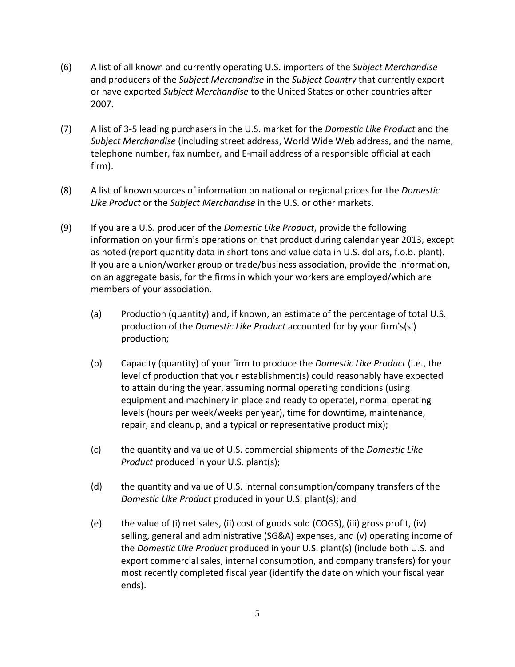- (6) A list of all known and currently operating U.S. importers of the *Subject Merchandise* and producers of the *Subject Merchandise* in the *Subject Country* that currently export or have exported *Subject Merchandise* to the United States or other countries after 2007.
- (7) A list of 3‐5 leading purchasers in the U.S. market for the *Domestic Like Product* and the *Subject Merchandise* (including street address, World Wide Web address, and the name, telephone number, fax number, and E‐mail address of a responsible official at each firm).
- (8) A list of known sources of information on national or regional prices for the *Domestic Like Product* or the *Subject Merchandise* in the U.S. or other markets.
- (9) If you are a U.S. producer of the *Domestic Like Product*, provide the following information on your firm's operations on that product during calendar year 2013, except as noted (report quantity data in short tons and value data in U.S. dollars, f.o.b. plant). If you are a union/worker group or trade/business association, provide the information, on an aggregate basis, for the firms in which your workers are employed/which are members of your association.
	- (a) Production (quantity) and, if known, an estimate of the percentage of total U.S. production of the *Domestic Like Product* accounted for by your firm's(s') production;
	- (b) Capacity (quantity) of your firm to produce the *Domestic Like Product* (i.e., the level of production that your establishment(s) could reasonably have expected to attain during the year, assuming normal operating conditions (using equipment and machinery in place and ready to operate), normal operating levels (hours per week/weeks per year), time for downtime, maintenance, repair, and cleanup, and a typical or representative product mix);
	- (c) the quantity and value of U.S. commercial shipments of the *Domestic Like Product* produced in your U.S. plant(s);
	- (d) the quantity and value of U.S. internal consumption/company transfers of the *Domestic Like Product* produced in your U.S. plant(s); and
	- (e) the value of (i) net sales, (ii) cost of goods sold (COGS), (iii) gross profit, (iv) selling, general and administrative (SG&A) expenses, and (v) operating income of the *Domestic Like Product* produced in your U.S. plant(s) (include both U.S. and export commercial sales, internal consumption, and company transfers) for your most recently completed fiscal year (identify the date on which your fiscal year ends).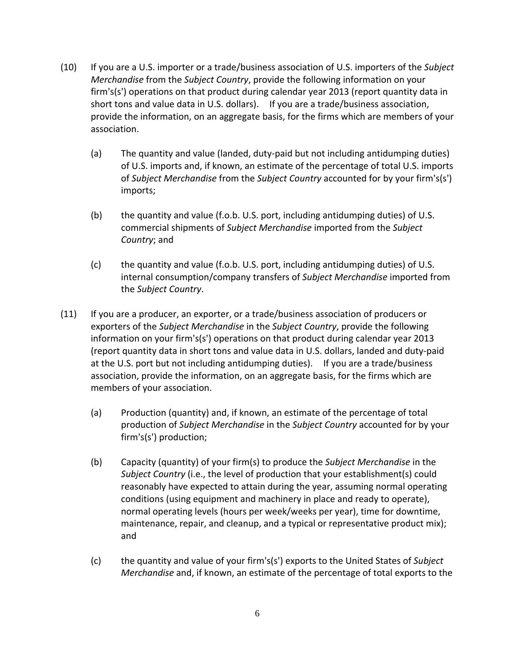- (10) If you are a U.S. importer or a trade/business association of U.S. importers of the *Subject Merchandise* from the *Subject Country*, provide the following information on your firm's(s') operations on that product during calendar year 2013 (report quantity data in short tons and value data in U.S. dollars). If you are a trade/business association, provide the information, on an aggregate basis, for the firms which are members of your association.
	- (a) The quantity and value (landed, duty‐paid but not including antidumping duties) of U.S. imports and, if known, an estimate of the percentage of total U.S. imports of *Subject Merchandise* from the *Subject Country* accounted for by your firm's(s') imports;
	- (b) the quantity and value (f.o.b. U.S. port, including antidumping duties) of U.S. commercial shipments of *Subject Merchandise* imported from the *Subject Country*; and
	- (c) the quantity and value (f.o.b. U.S. port, including antidumping duties) of U.S. internal consumption/company transfers of *Subject Merchandise* imported from the *Subject Country*.
- (11) If you are a producer, an exporter, or a trade/business association of producers or exporters of the *Subject Merchandise* in the *Subject Country*, provide the following information on your firm's(s') operations on that product during calendar year 2013 (report quantity data in short tons and value data in U.S. dollars, landed and duty‐paid at the U.S. port but not including antidumping duties). If you are a trade/business association, provide the information, on an aggregate basis, for the firms which are members of your association.
	- (a) Production (quantity) and, if known, an estimate of the percentage of total production of *Subject Merchandise* in the *Subject Country* accounted for by your  $firm's(s')$  production;
	- (b) Capacity (quantity) of your firm(s) to produce the *Subject Merchandise* in the *Subject Country* (i.e., the level of production that your establishment(s) could reasonably have expected to attain during the year, assuming normal operating conditions (using equipment and machinery in place and ready to operate), normal operating levels (hours per week/weeks per year), time for downtime, maintenance, repair, and cleanup, and a typical or representative product mix); and
	- (c) the quantity and value of your firm's(s') exports to the United States of *Subject Merchandise* and, if known, an estimate of the percentage of total exports to the